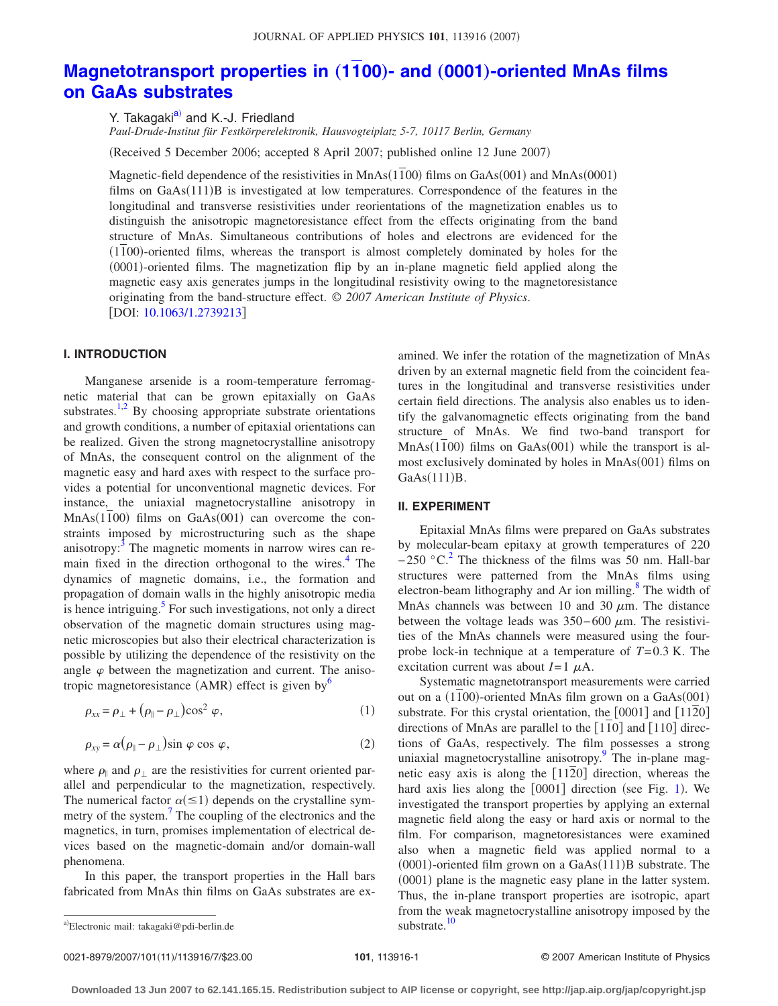# **[Magnetotransport properties in](http://dx.doi.org/10.1063/1.2739213) (1100)- and (0001)-oriented MnAs films [on GaAs substrates](http://dx.doi.org/10.1063/1.2739213)**

Y. Takagaki<sup>a)</sup> and K.-J. Friedland

*Paul-Drude-Institut für Festkörperelektronik, Hausvogteiplatz 5-7, 10117 Berlin, Germany*

(Received 5 December 2006; accepted 8 April 2007; published online 12 June 2007)

Magnetic-field dependence of the resistivities in MnAs(1100) films on GaAs(001) and MnAs(0001) films on GaAs(111)B is investigated at low temperatures. Correspondence of the features in the longitudinal and transverse resistivities under reorientations of the magnetization enables us to distinguish the anisotropic magnetoresistance effect from the effects originating from the band structure of MnAs. Simultaneous contributions of holes and electrons are evidenced for the (1100)-oriented films, whereas the transport is almost completely dominated by holes for the (0001)-oriented films. The magnetization flip by an in-plane magnetic field applied along the magnetic easy axis generates jumps in the longitudinal resistivity owing to the magnetoresistance originating from the band-structure effect. © *2007 American Institute of Physics*. [DOI: [10.1063/1.2739213](http://dx.doi.org/10.1063/1.2739213)]

## **I. INTRODUCTION**

Manganese arsenide is a room-temperature ferromagnetic material that can be grown epitaxially on GaAs substrates.<sup>1[,2](#page-5-1)</sup> By choosing appropriate substrate orientations and growth conditions, a number of epitaxial orientations can be realized. Given the strong magnetocrystalline anisotropy of MnAs, the consequent control on the alignment of the magnetic easy and hard axes with respect to the surface provides a potential for unconventional magnetic devices. For instance, the uniaxial magnetocrystalline anisotropy in  $MnAs(1100)$  films on  $GaAs(001)$  can overcome the constraints imposed by microstructuring such as the shape anisotropy:<sup>3</sup> The magnetic moments in narrow wires can remain fixed in the direction orthogonal to the wires.<sup>4</sup> The dynamics of magnetic domains, i.e., the formation and propagation of domain walls in the highly anisotropic media is hence intriguing. $5$  For such investigations, not only a direct observation of the magnetic domain structures using magnetic microscopies but also their electrical characterization is possible by utilizing the dependence of the resistivity on the angle  $\varphi$  between the magnetization and current. The anisotropic magnetoresistance (AMR) effect is given by  $6\%$ 

<span id="page-0-1"></span>
$$
\rho_{xx} = \rho_{\perp} + (\rho_{\parallel} - \rho_{\perp}) \cos^2 \varphi, \qquad (1)
$$

<span id="page-0-2"></span>
$$
\rho_{xy} = \alpha (\rho_{\parallel} - \rho_{\perp}) \sin \varphi \cos \varphi, \qquad (2)
$$

where  $\rho_{\parallel}$  and  $\rho_{\perp}$  are the resistivities for current oriented parallel and perpendicular to the magnetization, respectively. The numerical factor  $\alpha (\leq 1)$  depends on the crystalline symmetry of the system.<sup>7</sup> The coupling of the electronics and the magnetics, in turn, promises implementation of electrical devices based on the magnetic-domain and/or domain-wall phenomena.

In this paper, the transport properties in the Hall bars fabricated from MnAs thin films on GaAs substrates are examined. We infer the rotation of the magnetization of MnAs driven by an external magnetic field from the coincident features in the longitudinal and transverse resistivities under certain field directions. The analysis also enables us to identify the galvanomagnetic effects originating from the band structure of MnAs. We find two-band transport for  $MnAs(1100)$  films on  $GaAs(001)$  while the transport is almost exclusively dominated by holes in MnAs(001) films on  $GaAs(111)B.$ 

### **II. EXPERIMENT**

Epitaxial MnAs films were prepared on GaAs substrates by molecular-beam epitaxy at growth temperatures of 220  $-250$  °C.<sup>2</sup> The thickness of the films was 50 nm. Hall-bar structures were patterned from the MnAs films using electron-beam lithography and Ar ion milling.<sup>8</sup> The width of MnAs channels was between 10 and 30  $\mu$ m. The distance between the voltage leads was  $350-600 \mu m$ . The resistivities of the MnAs channels were measured using the fourprobe lock-in technique at a temperature of *T*= 0.3 K. The excitation current was about  $I=1 \mu A$ .

Systematic magnetotransport measurements were carried out on a (1100)-oriented MnAs film grown on a GaAs(001) substrate. For this crystal orientation, the  $[0001]$  and  $[1120]$ directions of MnAs are parallel to the  $[110]$  and  $[110]$  directions of GaAs, respectively. The film possesses a strong uniaxial magnetocrystalline anisotropy.<sup>9</sup> The in-plane magnetic easy axis is along the  $[11\overline{2}0]$  direction, whereas the hard axis lies along the [000[1](#page-1-0)] direction (see Fig. 1). We investigated the transport properties by applying an external magnetic field along the easy or hard axis or normal to the film. For comparison, magnetoresistances were examined also when a magnetic field was applied normal to a  $(0001)$ -oriented film grown on a GaAs $(111)$ B substrate. The (0001) plane is the magnetic easy plane in the latter system. Thus, the in-plane transport properties are isotropic, apart from the weak magnetocrystalline anisotropy imposed by the substrate.<sup>10</sup>

0021-8979/2007/101(11)/113916/7/\$23.00

<span id="page-0-0"></span>a)Electronic mail: takagaki@pdi-berlin.de substrate.<sup>[10](#page-6-6)</sup> substrate.<sup>10</sup>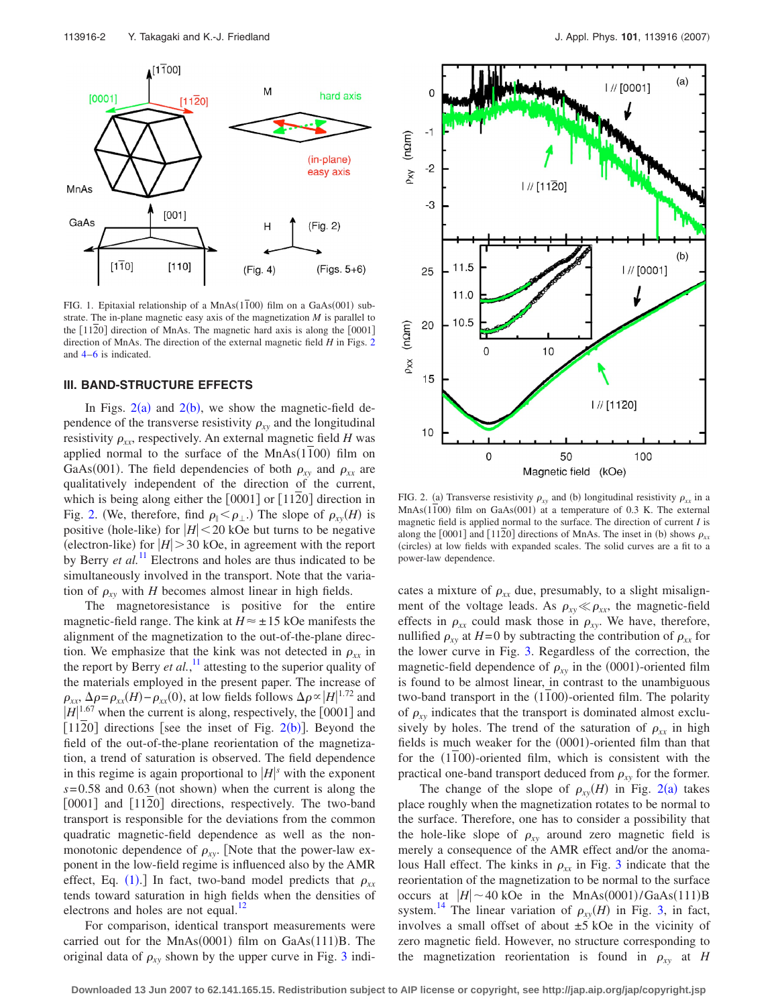<span id="page-1-0"></span>

FIG. 1. Epitaxial relationship of a MnAs(1100) film on a GaAs(001) substrate. The in-plane magnetic easy axis of the magnetization *M* is parallel to the  $[1120]$  direction of MnAs. The magnetic hard axis is along the  $[0001]$ direction of MnAs. The direction of the external magnetic field *H* in Figs. [2](#page-1-1) and [4](#page-2-1)[–6](#page-3-0) is indicated.

#### **III. BAND-STRUCTURE EFFECTS**

In Figs.  $2(a)$  $2(a)$  and  $2(b)$ , we show the magnetic-field dependence of the transverse resistivity  $\rho_{xy}$  and the longitudinal resistivity  $\rho_{xx}$ , respectively. An external magnetic field *H* was applied normal to the surface of the  $MnAs(1100)$  film on GaAs(001). The field dependencies of both  $\rho_{xy}$  and  $\rho_{xx}$  are qualitatively independent of the direction of the current, which is being along either the  $[0001]$  or  $[1120]$  direction in Fig. [2.](#page-1-1) (We, therefore, find  $\rho_{\parallel} < \rho_{\perp}$ .) The slope of  $\rho_{xy}(H)$  is positive (hole-like) for  $|H|$  < 20 kOe but turns to be negative (electron-like) for  $|H| > 30$  kOe, in agreement with the report by Berry *et al.*<sup>[11](#page-6-7)</sup> Electrons and holes are thus indicated to be simultaneously involved in the transport. Note that the variation of  $\rho_{xy}$  with *H* becomes almost linear in high fields.

The magnetoresistance is positive for the entire magnetic-field range. The kink at  $H \approx \pm 15$  kOe manifests the alignment of the magnetization to the out-of-the-plane direction. We emphasize that the kink was not detected in  $\rho_{xx}$  in the report by Berry *et al.*,<sup>[11](#page-6-7)</sup> attesting to the superior quality of the materials employed in the present paper. The increase of  $\rho_{xx}$ ,  $\Delta \rho = \rho_{xx}(H) - \rho_{xx}(0)$ , at low fields follows  $\Delta \rho \propto |H|^{1.72}$  and  $|H|^{1.67}$  when the current is along, respectively, the [0001] and [11[2](#page-1-1)0] directions [see the inset of Fig.  $2(b)$ ]. Beyond the field of the out-of-the-plane reorientation of the magnetization, a trend of saturation is observed. The field dependence in this regime is again proportional to  $|H|$ <sup>s</sup> with the exponent  $s = 0.58$  and 0.63 (not shown) when the current is along the [0001] and [1120] directions, respectively. The two-band transport is responsible for the deviations from the common quadratic magnetic-field dependence as well as the nonmonotonic dependence of  $\rho_{xy}$ . [Note that the power-law exponent in the low-field regime is influenced also by the AMR effect, Eq. ([1](#page-0-1)).] In fact, two-band model predicts that  $\rho_{xx}$ tends toward saturation in high fields when the densities of electrons and holes are not equal. $^{12}$ 

For comparison, identical transport measurements were carried out for the MnAs $(0001)$  film on GaAs $(111)B$ . The original data of  $\rho_{xy}$  shown by the upper curve in Fig. [3](#page-2-0) indi-

<span id="page-1-1"></span>

FIG. 2. (a) Transverse resistivity  $\rho_{xy}$  and (b) longitudinal resistivity  $\rho_{xx}$  in a MnAs(1100) film on GaAs(001) at a temperature of 0.3 K. The external magnetic field is applied normal to the surface. The direction of current *I* is along the [0001] and [1120] directions of MnAs. The inset in (b) shows  $\rho_{xx}$ (circles) at low fields with expanded scales. The solid curves are a fit to a power-law dependence.

cates a mixture of  $\rho_{xx}$  due, presumably, to a slight misalignment of the voltage leads. As  $\rho_{xy} \ll \rho_{xx}$ , the magnetic-field effects in  $\rho_{xx}$  could mask those in  $\rho_{xy}$ . We have, therefore, nullified  $\rho_{xy}$  at *H*=0 by subtracting the contribution of  $\rho_{xx}$  for the lower curve in Fig. [3.](#page-2-0) Regardless of the correction, the magnetic-field dependence of  $\rho_{xy}$  in the (0001)-oriented film is found to be almost linear, in contrast to the unambiguous two-band transport in the (1100)-oriented film. The polarity of  $\rho_{xy}$  indicates that the transport is dominated almost exclusively by holes. The trend of the saturation of  $\rho_{xx}$  in high fields is much weaker for the (0001)-oriented film than that for the (1100)-oriented film, which is consistent with the practical one-band transport deduced from  $\rho_{xy}$  for the former.

The change of the slope of  $\rho_{xy}(H)$  in Fig. [2](#page-1-1)(a) takes place roughly when the magnetization rotates to be normal to the surface. Therefore, one has to consider a possibility that the hole-like slope of  $\rho_{xy}$  around zero magnetic field is merely a consequence of the AMR effect and/or the anomalous Hall effect. The kinks in  $\rho_{xx}$  in Fig. [3](#page-2-0) indicate that the reorientation of the magnetization to be normal to the surface occurs at  $|H| \sim 40$  kOe in the MnAs(0001)/GaAs(111)B system.<sup>14</sup> The linear variation of  $\rho_{xy}(H)$  in Fig. [3,](#page-2-0) in fact, involves a small offset of about ±5 kOe in the vicinity of zero magnetic field. However, no structure corresponding to the magnetization reorientation is found in  $\rho_{xy}$  at *H*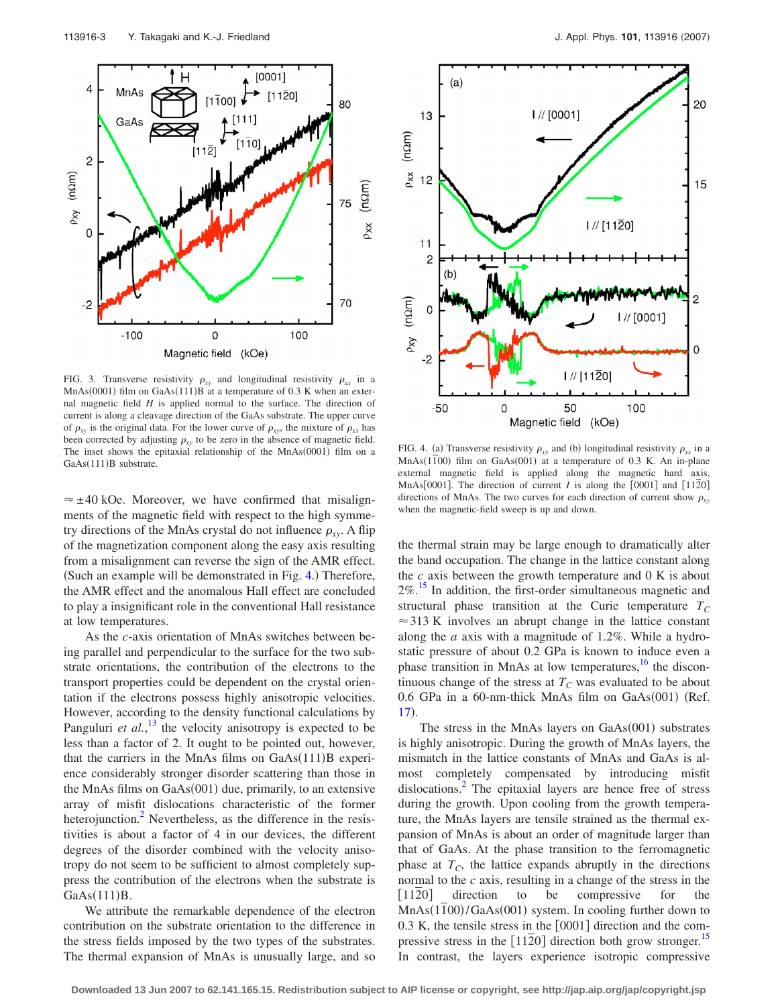<span id="page-2-0"></span>

FIG. 3. Transverse resistivity  $\rho_{xy}$  and longitudinal resistivity  $\rho_{xx}$  in a  $MnAs(0001)$  film on GaAs(111)B at a temperature of 0.3 K when an external magnetic field *H* is applied normal to the surface. The direction of current is along a cleavage direction of the GaAs substrate. The upper curve of  $\rho_{xy}$  is the original data. For the lower curve of  $\rho_{xy}$ , the mixture of  $\rho_{xx}$  has been corrected by adjusting  $\rho_{xy}$  to be zero in the absence of magnetic field. The inset shows the epitaxial relationship of the  $MnAs(0001)$  film on a GaAs(111)B substrate.

 $\approx \pm 40$  kOe. Moreover, we have confirmed that misalignments of the magnetic field with respect to the high symmetry directions of the MnAs crystal do not influence  $\rho_{xy}$ . A flip of the magnetization component along the easy axis resulting from a misalignment can reverse the sign of the AMR effect. (Such an example will be demonstrated in Fig. [4.](#page-2-1)) Therefore, the AMR effect and the anomalous Hall effect are concluded to play a insignificant role in the conventional Hall resistance at low temperatures.

As the *c*-axis orientation of MnAs switches between being parallel and perpendicular to the surface for the two substrate orientations, the contribution of the electrons to the transport properties could be dependent on the crystal orientation if the electrons possess highly anisotropic velocities. However, according to the density functional calculations by Panguluri *et al.*,<sup>[13](#page-6-10)</sup> the velocity anisotropy is expected to be less than a factor of 2. It ought to be pointed out, however, that the carriers in the MnAs films on  $GaAs(111)B$  experience considerably stronger disorder scattering than those in the MnAs films on GaAs(001) due, primarily, to an extensive array of misfit dislocations characteristic of the former heterojunction.<sup>2</sup> Nevertheless, as the difference in the resistivities is about a factor of 4 in our devices, the different degrees of the disorder combined with the velocity anisotropy do not seem to be sufficient to almost completely suppress the contribution of the electrons when the substrate is  $GaAs(111)B.$ 

We attribute the remarkable dependence of the electron contribution on the substrate orientation to the difference in the stress fields imposed by the two types of the substrates. The thermal expansion of MnAs is unusually large, and so

<span id="page-2-1"></span>

FIG. 4. (a) Transverse resistivity  $\rho_{xy}$  and (b) longitudinal resistivity  $\rho_{xx}$  in a MnAs(1100) film on GaAs(001) at a temperature of 0.3 K. An in-plane external magnetic field is applied along the magnetic hard axis, MnAs $[0001]$ . The direction of current *I* is along the  $[0001]$  and  $[1120]$ directions of MnAs. The two curves for each direction of current show  $\rho_{xy}$ when the magnetic-field sweep is up and down.

the thermal strain may be large enough to dramatically alter the band occupation. The change in the lattice constant along the *c* axis between the growth temperature and 0 K is about  $2\%$ .<sup>15</sup> In addition, the first-order simultaneous magnetic and structural phase transition at the Curie temperature  $T_C$  $\approx$  313 K involves an abrupt change in the lattice constant along the *a* axis with a magnitude of 1.2%. While a hydrostatic pressure of about 0.2 GPa is known to induce even a phase transition in MnAs at low temperatures, $^{16}$  the discontinuous change of the stress at  $T_C$  was evaluated to be about 0.6 GPa in a 60-nm-thick MnAs film on GaAs(001) (Ref. [17](#page-6-13)).

The stress in the MnAs layers on GaAs(001) substrates is highly anisotropic. During the growth of MnAs layers, the mismatch in the lattice constants of MnAs and GaAs is almost completely compensated by introducing misfit dislocations.<sup>2</sup> The epitaxial layers are hence free of stress during the growth. Upon cooling from the growth temperature, the MnAs layers are tensile strained as the thermal expansion of MnAs is about an order of magnitude larger than that of GaAs. At the phase transition to the ferromagnetic phase at  $T_c$ , the lattice expands abruptly in the directions normal to the *c* axis, resulting in a change of the stress in the [1120] direction to be compressive for the MnAs(1100)/GaAs(001) system. In cooling further down to  $0.3$  K, the tensile stress in the  $[0001]$  direction and the compressive stress in the  $[1120]$  direction both grow stronger.<sup>15</sup> In contrast, the layers experience isotropic compressive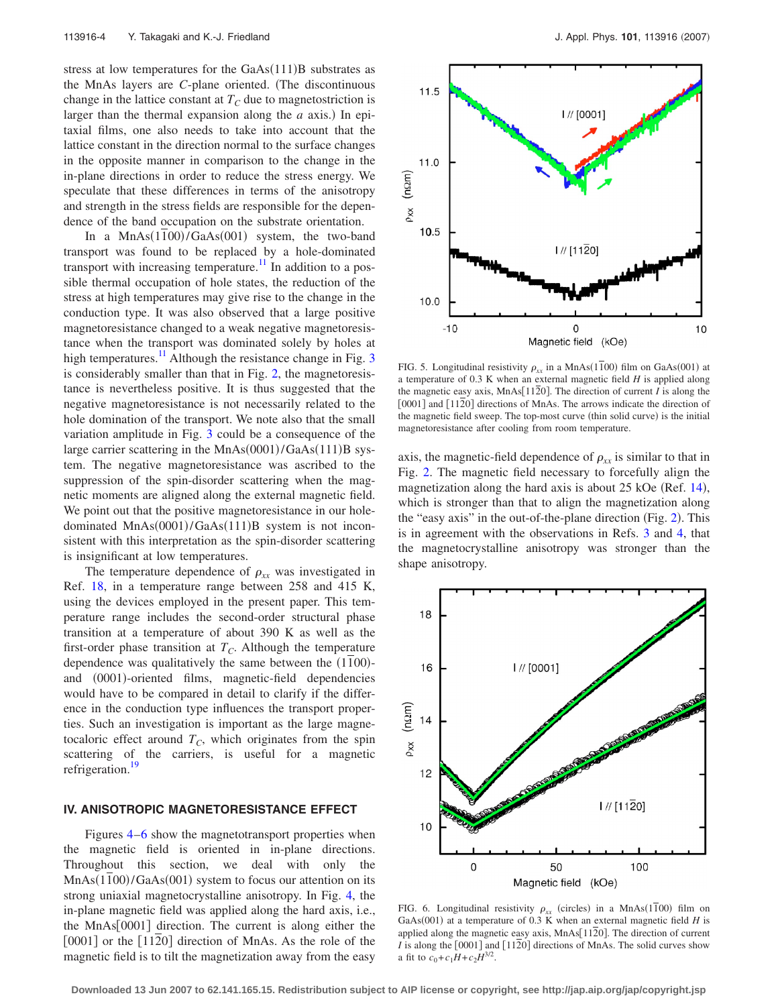stress at low temperatures for the GaAs(111)B substrates as the MnAs layers are *C*-plane oriented. (The discontinuous change in the lattice constant at  $T_c$  due to magnetostriction is larger than the thermal expansion along the  $a$  axis.) In epitaxial films, one also needs to take into account that the lattice constant in the direction normal to the surface changes in the opposite manner in comparison to the change in the in-plane directions in order to reduce the stress energy. We speculate that these differences in terms of the anisotropy and strength in the stress fields are responsible for the dependence of the band occupation on the substrate orientation.

In a MnAs(1100)/GaAs(001) system, the two-band transport was found to be replaced by a hole-dominated transport with increasing temperature.<sup>11</sup> In addition to a possible thermal occupation of hole states, the reduction of the stress at high temperatures may give rise to the change in the conduction type. It was also observed that a large positive magnetoresistance changed to a weak negative magnetoresistance when the transport was dominated solely by holes at high temperatures.<sup>11</sup> Although the resistance change in Fig. [3](#page-2-0) is considerably smaller than that in Fig. [2,](#page-1-1) the magnetoresistance is nevertheless positive. It is thus suggested that the negative magnetoresistance is not necessarily related to the hole domination of the transport. We note also that the small variation amplitude in Fig. [3](#page-2-0) could be a consequence of the large carrier scattering in the MnAs(0001)/GaAs(111)B system. The negative magnetoresistance was ascribed to the suppression of the spin-disorder scattering when the magnetic moments are aligned along the external magnetic field. We point out that the positive magnetoresistance in our holedominated MnAs(0001)/GaAs(111)B system is not inconsistent with this interpretation as the spin-disorder scattering is insignificant at low temperatures.

The temperature dependence of  $\rho_{xx}$  was investigated in Ref. [18,](#page-6-14) in a temperature range between 258 and 415 K, using the devices employed in the present paper. This temperature range includes the second-order structural phase transition at a temperature of about 390 K as well as the first-order phase transition at  $T_c$ . Although the temperature dependence was qualitatively the same between the (1100)and (0001)-oriented films, magnetic-field dependencies would have to be compared in detail to clarify if the difference in the conduction type influences the transport properties. Such an investigation is important as the large magnetocaloric effect around  $T_c$ , which originates from the spin scattering of the carriers, is useful for a magnetic refrigeration.<sup>19</sup>

## **IV. ANISOTROPIC MAGNETORESISTANCE EFFECT**

Figures [4](#page-2-1)[–6](#page-3-0) show the magnetotransport properties when the magnetic field is oriented in in-plane directions. Throughout this section, we deal with only the MnAs(1100)/GaAs(001) system to focus our attention on its strong uniaxial magnetocrystalline anisotropy. In Fig. [4,](#page-2-1) the in-plane magnetic field was applied along the hard axis, i.e., the  $MnAs[0001]$  direction. The current is along either the  $[0001]$  or the  $[1120]$  direction of MnAs. As the role of the magnetic field is to tilt the magnetization away from the easy

<span id="page-3-1"></span>

FIG. 5. Longitudinal resistivity  $\rho_{xx}$  in a MnAs(1100) film on GaAs(001) at a temperature of 0.3 K when an external magnetic field *H* is applied along the magnetic easy axis,  $MnAs[1120]$ . The direction of current *I* is along the [0001] and [1120] directions of MnAs. The arrows indicate the direction of the magnetic field sweep. The top-most curve (thin solid curve) is the initial magnetoresistance after cooling from room temperature.

axis, the magnetic-field dependence of  $\rho_{xx}$  is similar to that in Fig. [2.](#page-1-1) The magnetic field necessary to forcefully align the magnetization along the hard axis is about 25 kOe (Ref. [14](#page-6-9)), which is stronger than that to align the magnetization along the "easy axis" in the out-of-the-plane direction (Fig. [2](#page-1-1)). This is in agreement with the observations in Refs. [3](#page-5-2) and [4,](#page-6-0) that the magnetocrystalline anisotropy was stronger than the shape anisotropy.

<span id="page-3-0"></span>

FIG. 6. Longitudinal resistivity  $\rho_{xx}$  (circles) in a MnAs(1100) film on GaAs(001) at a temperature of 0.3 K when an external magnetic field  $H$  is applied along the magnetic easy axis, MnAs[1120]. The direction of current *I* is along the  $\lceil 0001 \rceil$  and  $\lceil 1120 \rceil$  directions of MnAs. The solid curves show a fit to  $c_0 + c_1H + c_2H^{3/2}$ .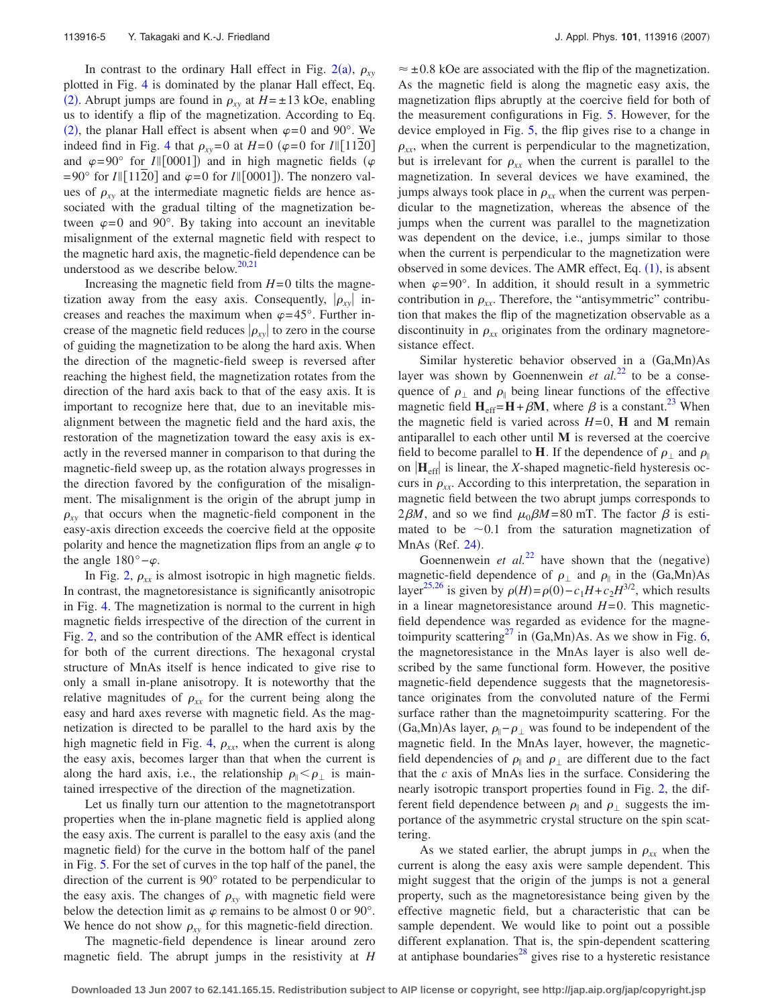In contrast to the ordinary Hall effect in Fig.  $2(a)$  $2(a)$ ,  $\rho_{xy}$ plotted in Fig. [4](#page-2-1) is dominated by the planar Hall effect, Eq. ([2](#page-0-2)). Abrupt jumps are found in  $\rho_{xy}$  at  $H = \pm 13$  kOe, enabling us to identify a flip of the magnetization. According to Eq. ([2](#page-0-2)), the planar Hall effect is absent when  $\varphi = 0$  and 90°. We indeed find in Fig. [4](#page-2-1) that  $\rho_{xy} = 0$  at  $H = 0$  ( $\varphi = 0$  for  $I \parallel [11\overline{2}0]$ and  $\varphi = 90^{\circ}$  for *I*||[0001]) and in high magnetic fields ( $\varphi$  $= 90^{\circ}$  for *I*||[1120] and  $\varphi = 0$  for *I*||[0001]). The nonzero values of  $\rho_{xy}$  at the intermediate magnetic fields are hence associated with the gradual tilting of the magnetization between  $\varphi = 0$  and 90°. By taking into account an inevitable misalignment of the external magnetic field with respect to the magnetic hard axis, the magnetic-field dependence can be understood as we describe below. $20,21$  $20,21$ 

Increasing the magnetic field from  $H=0$  tilts the magnetization away from the easy axis. Consequently,  $|\rho_{xy}|$  increases and reaches the maximum when  $\varphi = 45^\circ$ . Further increase of the magnetic field reduces  $|\rho_{xy}|$  to zero in the course of guiding the magnetization to be along the hard axis. When the direction of the magnetic-field sweep is reversed after reaching the highest field, the magnetization rotates from the direction of the hard axis back to that of the easy axis. It is important to recognize here that, due to an inevitable misalignment between the magnetic field and the hard axis, the restoration of the magnetization toward the easy axis is exactly in the reversed manner in comparison to that during the magnetic-field sweep up, as the rotation always progresses in the direction favored by the configuration of the misalignment. The misalignment is the origin of the abrupt jump in  $\rho_{xy}$  that occurs when the magnetic-field component in the easy-axis direction exceeds the coercive field at the opposite polarity and hence the magnetization flips from an angle  $\varphi$  to the angle  $180^\circ - \varphi$ .

In Fig. [2,](#page-1-1)  $\rho_{xx}$  is almost isotropic in high magnetic fields. In contrast, the magnetoresistance is significantly anisotropic in Fig. [4.](#page-2-1) The magnetization is normal to the current in high magnetic fields irrespective of the direction of the current in Fig. [2,](#page-1-1) and so the contribution of the AMR effect is identical for both of the current directions. The hexagonal crystal structure of MnAs itself is hence indicated to give rise to only a small in-plane anisotropy. It is noteworthy that the relative magnitudes of  $\rho_{xx}$  for the current being along the easy and hard axes reverse with magnetic field. As the magnetization is directed to be parallel to the hard axis by the high magnetic field in Fig. [4,](#page-2-1)  $\rho_{xx}$ , when the current is along the easy axis, becomes larger than that when the current is along the hard axis, i.e., the relationship  $\rho_{\parallel} < \rho_{\perp}$  is maintained irrespective of the direction of the magnetization.

Let us finally turn our attention to the magnetotransport properties when the in-plane magnetic field is applied along the easy axis. The current is parallel to the easy axis (and the magnetic field) for the curve in the bottom half of the panel in Fig. [5.](#page-3-1) For the set of curves in the top half of the panel, the direction of the current is 90° rotated to be perpendicular to the easy axis. The changes of  $\rho_{xy}$  with magnetic field were below the detection limit as  $\varphi$  remains to be almost 0 or 90°. We hence do not show  $\rho_{xy}$  for this magnetic-field direction.

The magnetic-field dependence is linear around zero magnetic field. The abrupt jumps in the resistivity at *H*

 $\approx \pm 0.8$  kOe are associated with the flip of the magnetization. As the magnetic field is along the magnetic easy axis, the magnetization flips abruptly at the coercive field for both of the measurement configurations in Fig. [5.](#page-3-1) However, for the device employed in Fig. [5,](#page-3-1) the flip gives rise to a change in  $\rho_{xx}$ , when the current is perpendicular to the magnetization, but is irrelevant for  $\rho_{xx}$  when the current is parallel to the magnetization. In several devices we have examined, the jumps always took place in  $\rho_{xx}$  when the current was perpendicular to the magnetization, whereas the absence of the jumps when the current was parallel to the magnetization was dependent on the device, i.e., jumps similar to those when the current is perpendicular to the magnetization were observed in some devices. The AMR effect, Eq.  $(1)$  $(1)$  $(1)$ , is absent when  $\varphi = 90^\circ$ . In addition, it should result in a symmetric contribution in  $\rho_{xx}$ . Therefore, the "antisymmetric" contribution that makes the flip of the magnetization observable as a discontinuity in  $\rho_{xx}$  originates from the ordinary magnetoresistance effect.

Similar hysteretic behavior observed in a (Ga,Mn)As layer was shown by Goennenwein *et al.*<sup>[22](#page-6-18)</sup> to be a consequence of  $\rho_{\perp}$  and  $\rho_{\parallel}$  being linear functions of the effective magnetic field  $H_{eff} = H + \beta M$ , where  $\beta$  is a constant.<sup>23</sup> When the magnetic field is varied across  $H=0$ , **H** and **M** remain antiparallel to each other until **M** is reversed at the coercive field to become parallel to **H**. If the dependence of  $\rho_{\perp}$  and  $\rho_{\parallel}$ on  $|\mathbf{H}_{\text{eff}}|$  is linear, the *X*-shaped magnetic-field hysteresis occurs in  $\rho_{xx}$ . According to this interpretation, the separation in magnetic field between the two abrupt jumps corresponds to  $2\beta M$ , and so we find  $\mu_0 \beta M = 80$  mT. The factor  $\beta$  is estimated to be  $\sim 0.1$  from the saturation magnetization of MnAs (Ref. [24](#page-6-20)).

Goennenwein *et al.*<sup>[22](#page-6-18)</sup> have shown that the (negative) magnetic-field dependence of  $\rho_{\perp}$  and  $\rho_{\parallel}$  in the (Ga,Mn)As layer<sup>25[,26](#page-6-22)</sup> is given by  $\rho(H) = \rho(0) - c_1 H + c_2 H^{3/2}$ , which results in a linear magnetoresistance around  $H=0$ . This magneticfield dependence was regarded as evidence for the magnetoimpurity scattering<sup>27</sup> in  $(Ga, Mn)As$ . As we show in Fig. [6,](#page-3-0) the magnetoresistance in the MnAs layer is also well described by the same functional form. However, the positive magnetic-field dependence suggests that the magnetoresistance originates from the convoluted nature of the Fermi surface rather than the magnetoimpurity scattering. For the  $(Ga, Mn)$ As layer,  $\rho_{\parallel} - \rho_{\perp}$  was found to be independent of the magnetic field. In the MnAs layer, however, the magneticfield dependencies of  $\rho_{\parallel}$  and  $\rho_{\perp}$  are different due to the fact that the *c* axis of MnAs lies in the surface. Considering the nearly isotropic transport properties found in Fig. [2,](#page-1-1) the different field dependence between  $\rho_{\parallel}$  and  $\rho_{\perp}$  suggests the importance of the asymmetric crystal structure on the spin scattering.

As we stated earlier, the abrupt jumps in  $\rho_{xx}$  when the current is along the easy axis were sample dependent. This might suggest that the origin of the jumps is not a general property, such as the magnetoresistance being given by the effective magnetic field, but a characteristic that can be sample dependent. We would like to point out a possible different explanation. That is, the spin-dependent scattering at antiphase boundaries $^{28}$  gives rise to a hysteretic resistance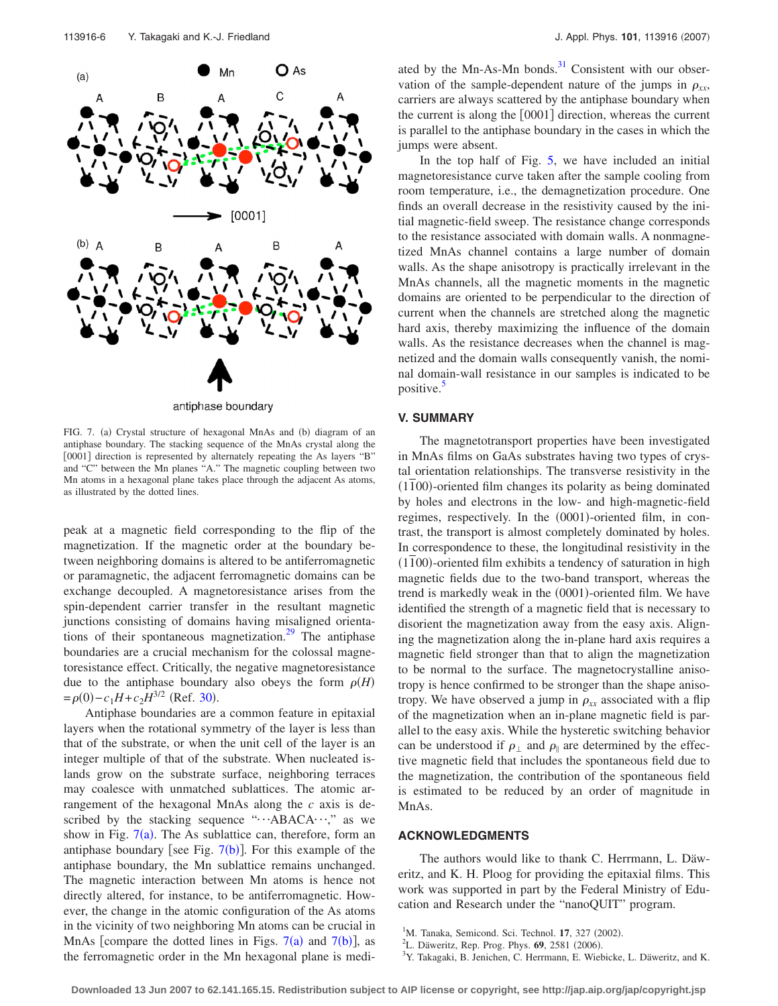<span id="page-5-3"></span>

antiphase boundary

FIG. 7. (a) Crystal structure of hexagonal MnAs and (b) diagram of an antiphase boundary. The stacking sequence of the MnAs crystal along the [0001] direction is represented by alternately repeating the As layers "B" and "C" between the Mn planes "A." The magnetic coupling between two Mn atoms in a hexagonal plane takes place through the adjacent As atoms, as illustrated by the dotted lines.

peak at a magnetic field corresponding to the flip of the magnetization. If the magnetic order at the boundary between neighboring domains is altered to be antiferromagnetic or paramagnetic, the adjacent ferromagnetic domains can be exchange decoupled. A magnetoresistance arises from the spin-dependent carrier transfer in the resultant magnetic junctions consisting of domains having misaligned orientations of their spontaneous magnetization.<sup>29</sup> The antiphase boundaries are a crucial mechanism for the colossal magnetoresistance effect. Critically, the negative magnetoresistance due to the antiphase boundary also obeys the form  $\rho(H)$  $= \rho(0) - c_1 H + c_2 H^{3/2}$  (Ref. [30](#page-6-26)).

Antiphase boundaries are a common feature in epitaxial layers when the rotational symmetry of the layer is less than that of the substrate, or when the unit cell of the layer is an integer multiple of that of the substrate. When nucleated islands grow on the substrate surface, neighboring terraces may coalesce with unmatched sublattices. The atomic arrangement of the hexagonal MnAs along the *c* axis is described by the stacking sequence " $\cdots$ ABACA $\cdots$ ," as we show in Fig.  $7(a)$  $7(a)$ . The As sublattice can, therefore, form an antiphase boundary [see Fig.  $7(b)$  $7(b)$ ]. For this example of the antiphase boundary, the Mn sublattice remains unchanged. The magnetic interaction between Mn atoms is hence not directly altered, for instance, to be antiferromagnetic. However, the change in the atomic configuration of the As atoms in the vicinity of two neighboring Mn atoms can be crucial in MnAs [compare the dotted lines in Figs.  $7(a)$  $7(a)$  and  $7(b)$ ], as the ferromagnetic order in the Mn hexagonal plane is mediated by the Mn-As-Mn bonds. $31$  Consistent with our observation of the sample-dependent nature of the jumps in  $\rho_{xx}$ , carriers are always scattered by the antiphase boundary when the current is along the  $[0001]$  direction, whereas the current is parallel to the antiphase boundary in the cases in which the jumps were absent.

In the top half of Fig. [5,](#page-3-1) we have included an initial magnetoresistance curve taken after the sample cooling from room temperature, i.e., the demagnetization procedure. One finds an overall decrease in the resistivity caused by the initial magnetic-field sweep. The resistance change corresponds to the resistance associated with domain walls. A nonmagnetized MnAs channel contains a large number of domain walls. As the shape anisotropy is practically irrelevant in the MnAs channels, all the magnetic moments in the magnetic domains are oriented to be perpendicular to the direction of current when the channels are stretched along the magnetic hard axis, thereby maximizing the influence of the domain walls. As the resistance decreases when the channel is magnetized and the domain walls consequently vanish, the nominal domain-wall resistance in our samples is indicated to be positive.<sup>5</sup>

## **V. SUMMARY**

The magnetotransport properties have been investigated in MnAs films on GaAs substrates having two types of crystal orientation relationships. The transverse resistivity in the (1100)-oriented film changes its polarity as being dominated by holes and electrons in the low- and high-magnetic-field regimes, respectively. In the (0001)-oriented film, in contrast, the transport is almost completely dominated by holes. In correspondence to these, the longitudinal resistivity in the (1100)-oriented film exhibits a tendency of saturation in high magnetic fields due to the two-band transport, whereas the trend is markedly weak in the (0001)-oriented film. We have identified the strength of a magnetic field that is necessary to disorient the magnetization away from the easy axis. Aligning the magnetization along the in-plane hard axis requires a magnetic field stronger than that to align the magnetization to be normal to the surface. The magnetocrystalline anisotropy is hence confirmed to be stronger than the shape anisotropy. We have observed a jump in  $\rho_{xx}$  associated with a flip of the magnetization when an in-plane magnetic field is parallel to the easy axis. While the hysteretic switching behavior can be understood if  $\rho_{\perp}$  and  $\rho_{\parallel}$  are determined by the effective magnetic field that includes the spontaneous field due to the magnetization, the contribution of the spontaneous field is estimated to be reduced by an order of magnitude in MnAs.

#### **ACKNOWLEDGMENTS**

The authors would like to thank C. Herrmann, L. Däweritz, and K. H. Ploog for providing the epitaxial films. This work was supported in part by the Federal Ministry of Education and Research under the "nanoQUIT" program.

- 
- <span id="page-5-0"></span><sup>1</sup>M. Tanaka, Semicond. Sci. Technol. **17**, 327 (2002). <sup>2</sup>L. Däweritz, Rep. Prog. Phys. **69**, 2581 (2006).<br><sup>3</sup>V. Tekaseki, B. Janisban, C. Horrmann, E. Wiek
- <span id="page-5-2"></span><span id="page-5-1"></span><sup>3</sup>Y. Takagaki, B. Jenichen, C. Herrmann, E. Wiebicke, L. Däweritz, and K.